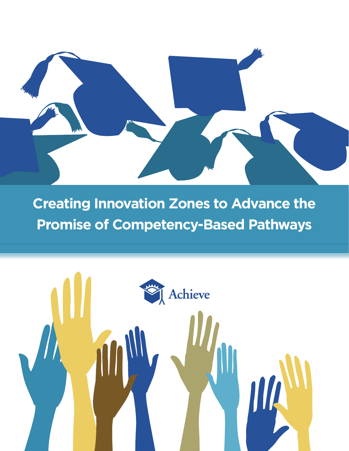

**Creating Innovation Zones to Advance the Promise of Competency-Based Pathways** 

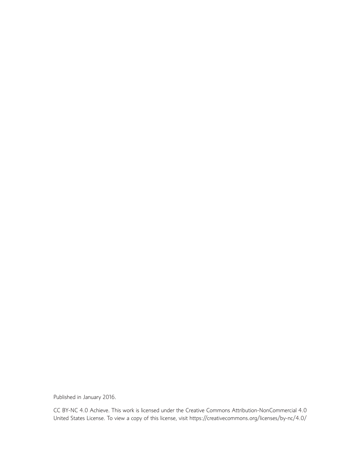Published in January 2016.

CC BY-NC 4.0 Achieve. This work is licensed under the Creative Commons Attribution-NonCommercial 4.0 United States License. To view a copy of this license, visit https://creativecommons.org/licenses/by-nc/4.0/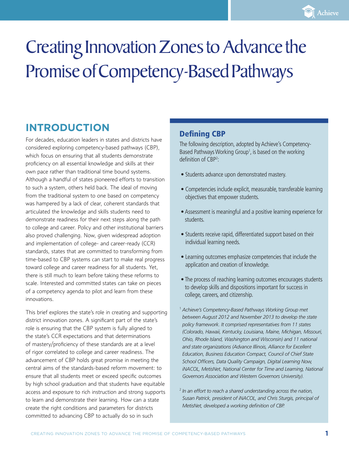# Creating Innovation Zones to Advance the Promise of Competency-Based Pathways

# **INTRODUCTION**

For decades, education leaders in states and districts have considered exploring competency-based pathways (CBP), which focus on ensuring that all students demonstrate proficiency on all essential knowledge and skills at their own pace rather than traditional time bound systems. Although a handful of states pioneered efforts to transition to such a system, others held back. The ideal of moving from the traditional system to one based on competency was hampered by a lack of clear, coherent standards that articulated the knowledge and skills students need to demonstrate readiness for their next steps along the path to college and career. Policy and other institutional barriers also proved challenging. Now, given widespread adoption and implementation of college- and career-ready (CCR) standards, states that are committed to transforming from time-based to CBP systems can start to make real progress toward college and career readiness for all students. Yet, there is still much to learn before taking these reforms to scale. Interested and committed states can take on pieces of a competency agenda to pilot and learn from these innovations.

This brief explores the state's role in creating and supporting district innovation zones. A significant part of the state's role is ensuring that the CBP system is fully aligned to the state's CCR expectations and that determinations of mastery/proficiency of these standards are at a level of rigor correlated to college and career readiness. The advancement of CBP holds great promise in meeting the central aims of the standards-based reform movement: to ensure that all students meet or exceed specific outcomes by high school graduation and that students have equitable access and exposure to rich instruction and strong supports to learn and demonstrate their learning. How can a state create the right conditions and parameters for districts committed to advancing CBP to actually do so in such

## Defining CBP

The following description, adopted by Achieve's Competency-Based Pathways Working Group<sup>1</sup>, is based on the working definition of CBP<sup>2</sup>:

- Students advance upon demonstrated mastery.
- Competencies include explicit, measurable, transferable learning objectives that empower students.
- Assessment is meaningful and a positive learning experience for students.
- Students receive rapid, differentiated support based on their individual learning needs.
- Learning outcomes emphasize competencies that include the application and creation of knowledge.
- The process of reaching learning outcomes encourages students to develop skills and dispositions important for success in college, careers, and citizenship.
- <sup>1</sup> *Achieve's Competency-Based Pathways Working Group met between August 2012 and November 2013 to develop the state policy framework. It comprised representatives from 11 states (Colorado, Hawaii, Kentucky, Louisiana, Maine, Michigan, Missouri, Ohio, Rhode Island, Washington and Wisconsin) and 11 national and state organizations (Advance Illinois, Alliance for Excellent Education, Business Education Compact, Council of Chief State School Officers, Data Quality Campaign, Digital Learning Now, iNACOL, MetisNet, National Center for Time and Learning, National Governors Association and Western Governors University).*
- <sup>2</sup> *In an effort to reach a shared understanding across the nation, Susan Patrick, president of iNACOL, and Chris Sturgis, principal of MetisNet, developed a working definition of CBP.*

Achieve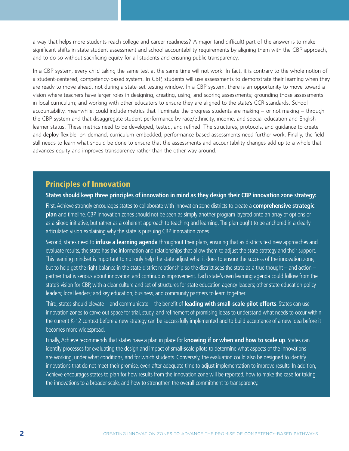a way that helps more students reach college and career readiness? A major (and difficult) part of the answer is to make significant shifts in state student assessment and school accountability requirements by aligning them with the CBP approach, and to do so without sacrificing equity for all students and ensuring public transparency.

In a CBP system, every child taking the same test at the same time will not work. In fact, it is contrary to the whole notion of a student-centered, competency-based system. In CBP, students will use assessments to demonstrate their learning when they are ready to move ahead, not during a state-set testing window. In a CBP system, there is an opportunity to move toward a vision where teachers have larger roles in designing, creating, using, and scoring assessments; grounding those assessments in local curriculum; and working with other educators to ensure they are aligned to the state's CCR standards. School accountability, meanwhile, could include metrics that illuminate the progress students are making – or not making – through the CBP system and that disaggregate student performance by race/ethnicity, income, and special education and English learner status. These metrics need to be developed, tested, and refined. The structures, protocols, and guidance to create and deploy flexible, on-demand, curriculum-embedded, performance-based assessments need further work. Finally, the field still needs to learn what should be done to ensure that the assessments and accountability changes add up to a whole that advances equity and improves transparency rather than the other way around.

## Principles of Innovation

**States should keep three principles of innovation in mind as they design their CBP innovation zone strategy:**

First, Achieve strongly encourages states to collaborate with innovation zone districts to create a **comprehensive strategic plan** and timeline. CBP innovation zones should not be seen as simply another program layered onto an array of options or as a siloed initiative, but rather as a coherent approach to teaching and learning. The plan ought to be anchored in a clearly articulated vision explaining why the state is pursuing CBP innovation zones.

Second, states need to **infuse a learning agenda** throughout their plans, ensuring that as districts test new approaches and evaluate results, the state has the information and relationships that allow them to adjust the state strategy and their support. This learning mindset is important to not only help the state adjust what it does to ensure the success of the innovation zone, but to help get the right balance in the state-district relationship so the district sees the state as a true thought – and action – partner that is serious about innovation and continuous improvement. Each state's own learning agenda could follow from the state's vision for CBP, with a clear culture and set of structures for state education agency leaders; other state education policy leaders; local leaders; and key education, business, and community partners to learn together.

Third, states should elevate – and communicate – the benefit of **leading with small-scale pilot efforts**. States can use innovation zones to carve out space for trial, study, and refinement of promising ideas to understand what needs to occur within the current K-12 context before a new strategy can be successfully implemented and to build acceptance of a new idea before it becomes more widespread.

Finally, Achieve recommends that states have a plan in place for **knowing if or when and how to scale up**. States can identify processes for evaluating the design and impact of small-scale pilots to determine what aspects of the innovations are working, under what conditions, and for which students. Conversely, the evaluation could also be designed to identify innovations that do not meet their promise, even after adequate time to adjust implementation to improve results. In addition, Achieve encourages states to plan for how results from the innovation zone will be reported, how to make the case for taking the innovations to a broader scale, and how to strengthen the overall commitment to transparency.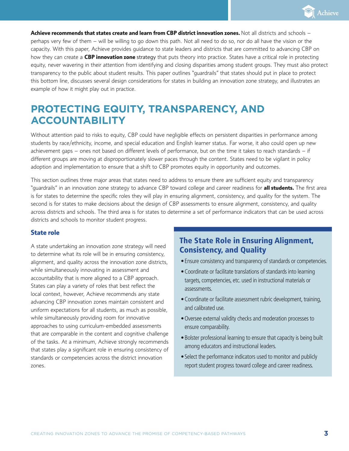

**Achieve recommends that states create and learn from CBP district innovation zones.** Not all districts and schools – perhaps very few of them – will be willing to go down this path. Not all need to do so, nor do all have the vision or the capacity. With this paper, Achieve provides guidance to state leaders and districts that are committed to advancing CBP on how they can create a **CBP innovation zone** strategy that puts theory into practice. States have a critical role in protecting equity, never wavering in their attention from identifying and closing disparities among student groups. They must also protect transparency to the public about student results. This paper outlines "guardrails" that states should put in place to protect this bottom line, discusses several design considerations for states in building an innovation zone strategy, and illustrates an example of how it might play out in practice.

# **PROTECTING EQUITY, TRANSPARENCY, AND ACCOUNTABILITY**

Without attention paid to risks to equity, CBP could have negligible effects on persistent disparities in performance among students by race/ethnicity, income, and special education and English learner status. Far worse, it also could open up new achievement gaps – ones not based on different levels of performance, but on the time it takes to reach standards – if different groups are moving at disproportionately slower paces through the content. States need to be vigilant in policy adoption and implementation to ensure that a shift to CBP promotes equity in opportunity and outcomes.

This section outlines three major areas that states need to address to ensure there are sufficient equity and transparency "guardrails" in an innovation zone strategy to advance CBP toward college and career readiness for **all students.** The first area is for states to determine the specific roles they will play in ensuring alignment, consistency, and quality for the system. The second is for states to make decisions about the design of CBP assessments to ensure alignment, consistency, and quality across districts and schools. The third area is for states to determine a set of performance indicators that can be used across districts and schools to monitor student progress.

#### **State role**

A state undertaking an innovation zone strategy will need to determine what its role will be in ensuring consistency, alignment, and quality across the innovation zone districts, while simultaneously innovating in assessment and accountability that is more aligned to a CBP approach. States can play a variety of roles that best reflect the local context, however, Achieve recommends any state advancing CBP innovation zones maintain consistent and uniform expectations for all students, as much as possible, while simultaneously providing room for innovative approaches to using curriculum-embedded assessments that are comparable in the content and cognitive challenge of the tasks. At a minimum, Achieve strongly recommends that states play a significant role in ensuring consistency of standards or competencies across the district innovation zones.

## The State Role in Ensuring Alignment, Consistency, and Quality

- •Ensure consistency and transparency of standards or competencies.
- Coordinate or facilitate translations of standards into learning targets, competencies, etc. used in instructional materials or assessments.
- Coordinate or facilitate assessment rubric development, training, and calibrated use.
- Oversee external validity checks and moderation processes to ensure comparability.
- Bolster professional learning to ensure that capacity is being built among educators and instructional leaders.
- Select the performance indicators used to monitor and publicly report student progress toward college and career readiness.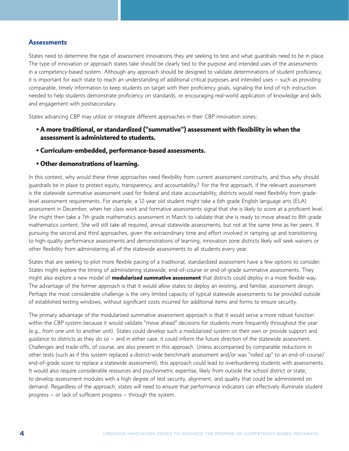#### **Assessments**

States need to determine the type of assessment innovations they are seeking to test and what guardrails need to be in place. The type of innovation or approach states take should be clearly tied to the purpose and intended uses of the assessments in a competency-based system. Although any approach should be designed to validate determinations of student proficiency, it is important for each state to reach an understanding of additional critical purposes and intended uses – such as providing comparable, timely information to keep students on target with their proficiency goals, signaling the kind of rich instruction needed to help students demonstrate proficiency on standards, or encouraging real-world application of knowledge and skills and engagement with postsecondary.

States advancing CBP may utilize or integrate different approaches in their CBP innovation zones:

- **A more traditional, or standardized ("summative") assessment with flexibility in when the assessment is administered to students.**
- **Curriculum-embedded, performance-based assessments.**
- **Other demonstrations of learning.**

In this context, why would these three approaches need flexibility from current assessment constructs, and thus why should guardrails be in place to protect equity, transparency, and accountability? For the first approach, if the relevant assessment is the statewide summative assessment used for federal and state accountability, districts would need flexibility from gradelevel assessment requirements. For example, a 12-year old student might take a 6th grade English language arts (ELA) assessment in December, when her class work and formative assessments signal that she is likely to score at a proficient level. She might then take a 7th grade mathematics assessment in March to validate that she is ready to move ahead to 8th grade mathematics content. She will still take all required, annual statewide assessments, but not at the same time as her peers. If pursuing the second and third approaches, given the extraordinary time and effort involved in ramping up and transitioning to high-quality performance assessments and demonstrations of learning, innovation zone districts likely will seek waivers or other flexibility from administering all of the statewide assessments to all students every year.

States that are seeking to pilot more flexible pacing of a traditional, standardized assessment have a few options to consider. States might explore the timing of administering statewide, end-of-course or end-of-grade summative assessments. They might also explore a new model of **modularized summative assessment** that districts could deploy in a more flexible way. The advantage of the former approach is that it would allow states to deploy an existing, and familiar, assessment design. Perhaps the most considerable challenge is the very limited capacity of typical statewide assessments to be provided outside of established testing windows, without significant costs incurred for additional items and forms to ensure security.

The primary advantage of the modularized summative assessment approach is that it would serve a more robust function within the CBP system because it would validate "move ahead" decisions for students more frequently throughout the year (e.g., from one unit to another unit). States could develop such a modularized system on their own or provide support and guidance to districts as they do so – and in either case, it could inform the future direction of the statewide assessment. Challenges and trade-offs, of course, are also present in this approach. Unless accompanied by comparable reductions in other tests (such as if this system replaced a district-wide benchmark assessment and/or was "rolled up" to an end-of-course/ end-of-grade score to replace a statewide assessment), this approach could lead to overburdening students with assessments. It would also require considerable resources and psychometric expertise, likely from outside the school district or state, to develop assessment modules with a high degree of test security, alignment, and quality that could be administered on demand. Regardless of the approach, states will need to ensure that performance indicators can effectively illuminate student progress – or lack of sufficient progress – through the system.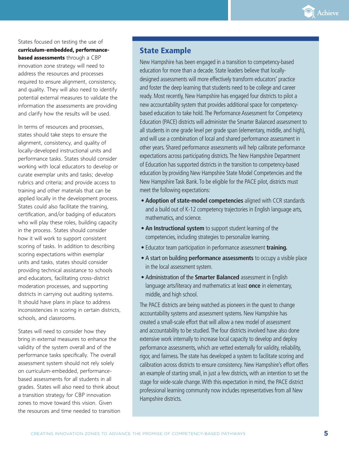

States focused on testing the use of **curriculum-embedded, performancebased assessments** through a CBP innovation zone strategy will need to address the resources and processes required to ensure alignment, consistency, and quality. They will also need to identify potential external measures to validate the information the assessments are providing and clarify how the results will be used.

In terms of resources and processes, states should take steps to ensure the alignment, consistency, and quality of locally-developed instructional units and performance tasks. States should consider working with local educators to develop or curate exemplar units and tasks; develop rubrics and criteria; and provide access to training and other materials that can be applied locally in the development process. States could also facilitate the training, certification, and/or badging of educators who will play these roles, building capacity in the process. States should consider how it will work to support consistent scoring of tasks. In addition to describing scoring expectations within exemplar units and tasks, states should consider providing technical assistance to schools and educators, facilitating cross-district moderation processes, and supporting districts in carrying out auditing systems. It should have plans in place to address inconsistencies in scoring in certain districts, schools, and classrooms.

States will need to consider how they bring in external measures to enhance the validity of the system overall and of the performance tasks specifically. The overall assessment system should not rely solely on curriculum-embedded, performancebased assessments for all students in all grades. States will also need to think about a transition strategy for CBP innovation zones to move toward this vision. Given the resources and time needed to transition

### State Example

New Hampshire has been engaged in a transition to competency-based education for more than a decade. State leaders believe that locallydesigned assessments will more effectively transform educators' practice and foster the deep learning that students need to be college and career ready. Most recently, New Hampshire has engaged four districts to pilot a new accountability system that provides additional space for competencybased education to take hold. The Performance Assessment for Competency Education (PACE) districts will administer the Smarter Balanced assessment to all students in one grade level per grade span (elementary, middle, and high), and will use a combination of local and shared performance assessment in other years. Shared performance assessments will help calibrate performance expectations across participating districts. The New Hampshire Department of Education has supported districts in the transition to competency-based education by providing New Hampshire State Model Competencies and the New Hampshire Task Bank. To be eligible for the PACE pilot, districts must meet the following expectations:

- **Adoption of state-model competencies** aligned with CCR standards and a build out of K-12 competency trajectories in English language arts, mathematics, and science.
- **An Instructional system** to support student learning of the competencies, including strategies to personalize learning.
- Educator team participation in performance assessment **training.**
- A start on building **performance assessments** to occupy a visible place in the local assessment system.
- Administration of the **Smarter Balanced** assessment in English language arts/literacy and mathematics at least **once** in elementary, middle, and high school.

The PACE districts are being watched as pioneers in the quest to change accountability systems and assessment systems. New Hampshire has created a small-scale effort that will allow a new model of assessment and accountability to be studied. The four districts involved have also done extensive work internally to increase local capacity to develop and deploy performance assessments, which are vetted externally for validity, reliability, rigor, and fairness. The state has developed a system to facilitate scoring and calibration across districts to ensure consistency. New Hampshire's effort offers an example of starting small, in just a few districts, with an intention to set the stage for wide-scale change. With this expectation in mind, the PACE district professional learning community now includes representatives from all New Hampshire districts.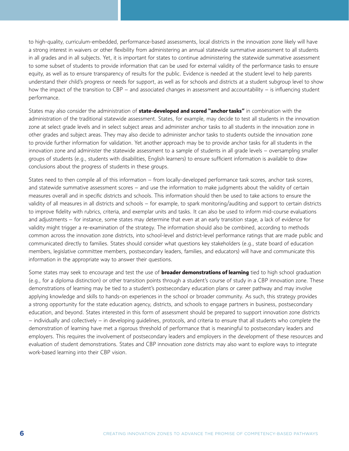to high-quality, curriculum-embedded, performance-based assessments, local districts in the innovation zone likely will have a strong interest in waivers or other flexibility from administering an annual statewide summative assessment to all students in all grades and in all subjects. Yet, it is important for states to continue administering the statewide summative assessment to some subset of students to provide information that can be used for external validity of the performance tasks to ensure equity, as well as to ensure transparency of results for the public. Evidence is needed at the student level to help parents understand their child's progress or needs for support, as well as for schools and districts at a student subgroup level to show how the impact of the transition to CBP – and associated changes in assessment and accountability – is influencing student performance.

States may also consider the administration of **state-developed and scored "anchor tasks"** in combination with the administration of the traditional statewide assessment. States, for example, may decide to test all students in the innovation zone at select grade levels and in select subject areas and administer anchor tasks to all students in the innovation zone in other grades and subject areas. They may also decide to administer anchor tasks to students outside the innovation zone to provide further information for validation. Yet another approach may be to provide anchor tasks for all students in the innovation zone and administer the statewide assessment to a sample of students in all grade levels – oversampling smaller groups of students (e.g., students with disabilities, English learners) to ensure sufficient information is available to draw conclusions about the progress of students in these groups.

States need to then compile all of this information – from locally-developed performance task scores, anchor task scores, and statewide summative assessment scores – and use the information to make judgments about the validity of certain measures overall and in specific districts and schools. This information should then be used to take actions to ensure the validity of all measures in all districts and schools – for example, to spark monitoring/auditing and support to certain districts to improve fidelity with rubrics, criteria, and exemplar units and tasks. It can also be used to inform mid-course evaluations and adjustments – for instance, some states may determine that even at an early transition stage, a lack of evidence for validity might trigger a re-examination of the strategy. The information should also be combined, according to methods common across the innovation zone districts, into school-level and district-level performance ratings that are made public and communicated directly to families. States should consider what questions key stakeholders (e.g., state board of education members, legislative committee members, postsecondary leaders, families, and educators) will have and communicate this information in the appropriate way to answer their questions.

Some states may seek to encourage and test the use of **broader demonstrations of learning** tied to high school graduation (e.g., for a diploma distinction) or other transition points through a student's course of study in a CBP innovation zone. These demonstrations of learning may be tied to a student's postsecondary education plans or career pathway and may involve applying knowledge and skills to hands-on experiences in the school or broader community. As such, this strategy provides a strong opportunity for the state education agency, districts, and schools to engage partners in business, postsecondary education, and beyond. States interested in this form of assessment should be prepared to support innovation zone districts – individually and collectively – in developing guidelines, protocols, and criteria to ensure that all students who complete the demonstration of learning have met a rigorous threshold of performance that is meaningful to postsecondary leaders and employers. This requires the involvement of postsecondary leaders and employers in the development of these resources and evaluation of student demonstrations. States and CBP innovation zone districts may also want to explore ways to integrate work-based learning into their CBP vision.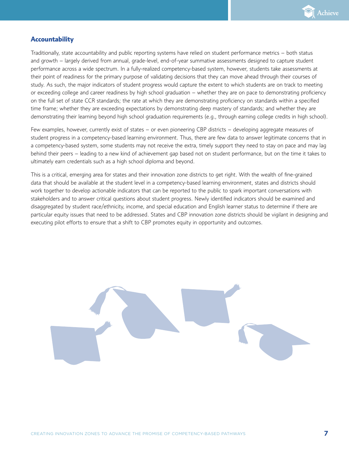

#### **Accountability**

Traditionally, state accountability and public reporting systems have relied on student performance metrics – both status and growth – largely derived from annual, grade-level, end-of-year summative assessments designed to capture student performance across a wide spectrum. In a fully-realized competency-based system, however, students take assessments at their point of readiness for the primary purpose of validating decisions that they can move ahead through their courses of study. As such, the major indicators of student progress would capture the extent to which students are on track to meeting or exceeding college and career readiness by high school graduation – whether they are on pace to demonstrating proficiency on the full set of state CCR standards; the rate at which they are demonstrating proficiency on standards within a specified time frame; whether they are exceeding expectations by demonstrating deep mastery of standards; and whether they are demonstrating their learning beyond high school graduation requirements (e.g., through earning college credits in high school).

Few examples, however, currently exist of states – or even pioneering CBP districts – developing aggregate measures of student progress in a competency-based learning environment. Thus, there are few data to answer legitimate concerns that in a competency-based system, some students may not receive the extra, timely support they need to stay on pace and may lag behind their peers – leading to a new kind of achievement gap based not on student performance, but on the time it takes to ultimately earn credentials such as a high school diploma and beyond.

This is a critical, emerging area for states and their innovation zone districts to get right. With the wealth of fine-grained data that should be available at the student level in a competency-based learning environment, states and districts should work together to develop actionable indicators that can be reported to the public to spark important conversations with stakeholders and to answer critical questions about student progress. Newly identified indicators should be examined and disaggregated by student race/ethnicity, income, and special education and English learner status to determine if there are particular equity issues that need to be addressed. States and CBP innovation zone districts should be vigilant in designing and executing pilot efforts to ensure that a shift to CBP promotes equity in opportunity and outcomes.

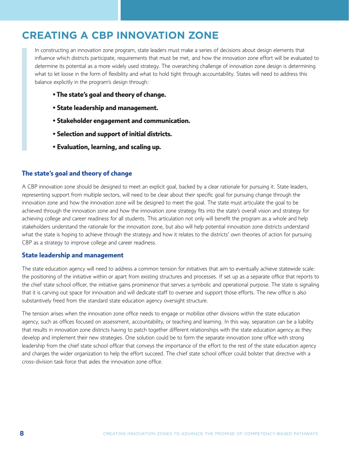# **CREATING A CBP INNOVATION ZONE**

In constructing an innovation zone program, state leaders must make a series of decisions about design elements that influence which districts participate, requirements that must be met, and how the innovation zone effort will be evaluated to determine its potential as a more widely used strategy. The overarching challenge of innovation zone design is determining what to let loose in the form of flexibility and what to hold tight through accountability. States will need to address this balance explicitly in the program's design through:

- **The state's goal and theory of change.**
- **State leadership and management.**
- **Stakeholder engagement and communication.**
- **Selection and support of initial districts.**
- **Evaluation, learning, and scaling up.**

#### **The state's goal and theory of change**

A CBP innovation zone should be designed to meet an explicit goal, backed by a clear rationale for pursuing it. State leaders, representing support from multiple sectors, will need to be clear about their specific goal for pursuing change through the innovation zone and how the innovation zone will be designed to meet the goal. The state must articulate the goal to be achieved through the innovation zone and how the innovation zone strategy fits into the state's overall vision and strategy for achieving college and career readiness for all students. This articulation not only will benefit the program as a whole and help stakeholders understand the rationale for the innovation zone, but also will help potential innovation zone districts understand what the state is hoping to achieve through the strategy and how it relates to the districts' own theories of action for pursuing CBP as a strategy to improve college and career readiness.

#### **State leadership and management**

The state education agency will need to address a common tension for initiatives that aim to eventually achieve statewide scale: the positioning of the initiative within or apart from existing structures and processes. If set up as a separate office that reports to the chief state school officer, the initiative gains prominence that serves a symbolic and operational purpose. The state is signaling that it is carving out space for innovation and will dedicate staff to oversee and support those efforts. The new office is also substantively freed from the standard state education agency oversight structure.

The tension arises when the innovation zone office needs to engage or mobilize other divisions within the state education agency, such as offices focused on assessment, accountability, or teaching and learning. In this way, separation can be a liability that results in innovation zone districts having to patch together different relationships with the state education agency as they develop and implement their new strategies. One solution could be to form the separate innovation zone office with strong leadership from the chief state school officer that conveys the importance of the effort to the rest of the state education agency and charges the wider organization to help the effort succeed. The chief state school officer could bolster that directive with a cross-division task force that aides the innovation zone office.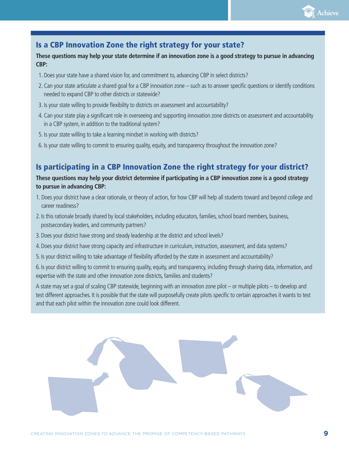

## Is a CBP Innovation Zone the right strategy for your state?

#### **These questions may help your state determine if an innovation zone is a good strategy to pursue in advancing CBP:**

- 1. Does your state have a shared vision for, and commitment to, advancing CBP in select districts?
- 2. Can your state articulate a shared goal for a CBP innovation zone such as to answer specific questions or identify conditions needed to expand CBP to other districts or statewide?
- 3. Is your state willing to provide flexibility to districts on assessment and accountability?
- 4. Can your state play a significant role in overseeing and supporting innovation zone districts on assessment and accountability in a CBP system, in addition to the traditional system?
- 5. Is your state willing to take a learning mindset in working with districts?
- 6. Is your state willing to commit to ensuring quality, equity, and transparency throughout the innovation zone?

## Is participating in a CBP Innovation Zone the right strategy for your district?

#### **These questions may help your district determine if participating in a CBP innovation zone is a good strategy to pursue in advancing CBP:**

- 1. Does your district have a clear rationale, or theory of action, for how CBP will help all students toward and beyond college and career readiness?
- 2. Is this rationale broadly shared by local stakeholders, including educators, families, school board members, business, postsecondary leaders, and community partners?
- 3.Does your district have strong and steady leadership at the district and school levels?
- 4.Does your district have strong capacity and infrastructure in curriculum, instruction, assessment, and data systems?
- 5.Is your district willing to take advantage of flexibility afforded by the state in assessment and accountability?

6.Is your district willing to commit to ensuring quality, equity, and transparency, including through sharing data, information, and expertise with the state and other innovation zone districts, families and students?

A state may set a goal of scaling CBP statewide, beginning with an innovation zone pilot – or multiple pilots – to develop and test different approaches. It is possible that the state will purposefully create pilots specific to certain approaches it wants to test and that each pilot within the innovation zone could look different.

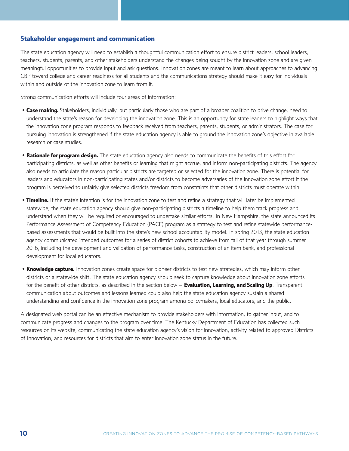#### **Stakeholder engagement and communication**

The state education agency will need to establish a thoughtful communication effort to ensure district leaders, school leaders, teachers, students, parents, and other stakeholders understand the changes being sought by the innovation zone and are given meaningful opportunities to provide input and ask questions. Innovation zones are meant to learn about approaches to advancing CBP toward college and career readiness for all students and the communications strategy should make it easy for individuals within and outside of the innovation zone to learn from it.

Strong communication efforts will include four areas of information:

- **Case making.** Stakeholders, individually, but particularly those who are part of a broader coalition to drive change, need to understand the state's reason for developing the innovation zone. This is an opportunity for state leaders to highlight ways that the innovation zone program responds to feedback received from teachers, parents, students, or administrators. The case for pursuing innovation is strengthened if the state education agency is able to ground the innovation zone's objective in available research or case studies.
- **Rationale for program design.** The state education agency also needs to communicate the benefits of this effort for participating districts, as well as other benefits or learning that might accrue, and inform non-participating districts. The agency also needs to articulate the reason particular districts are targeted or selected for the innovation zone. There is potential for leaders and educators in non-participating states and/or districts to become adversaries of the innovation zone effort if the program is perceived to unfairly give selected districts freedom from constraints that other districts must operate within.
- **Timeline.** If the state's intention is for the innovation zone to test and refine a strategy that will later be implemented statewide, the state education agency should give non-participating districts a timeline to help them track progress and understand when they will be required or encouraged to undertake similar efforts. In New Hampshire, the state announced its Performance Assessment of Competency Education (PACE) program as a strategy to test and refine statewide performancebased assessments that would be built into the state's new school accountability model. In spring 2013, the state education agency communicated intended outcomes for a series of district cohorts to achieve from fall of that year through summer 2016, including the development and validation of performance tasks, construction of an item bank, and professional development for local educators.
- **Knowledge capture.** Innovation zones create space for pioneer districts to test new strategies, which may inform other districts or a statewide shift. The state education agency should seek to capture knowledge about innovation zone efforts for the benefit of other districts, as described in the section below – **Evaluation, Learning, and Scaling Up**. Transparent communication about outcomes and lessons learned could also help the state education agency sustain a shared understanding and confidence in the innovation zone program among policymakers, local educators, and the public.

A designated web portal can be an effective mechanism to provide stakeholders with information, to gather input, and to communicate progress and changes to the program over time. The Kentucky Department of Education has collected such resources on its website, communicating the state education agency's vision for innovation, activity related to approved Districts of Innovation, and resources for districts that aim to enter innovation zone status in the future.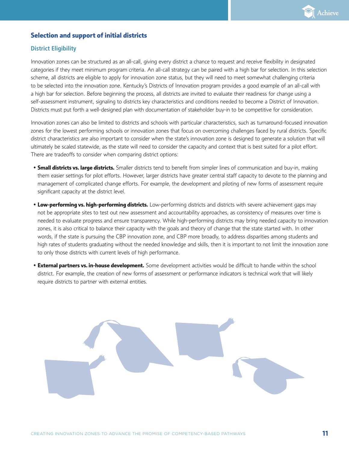

#### **Selection and support of initial districts**

#### **District Eligibility**

Innovation zones can be structured as an all-call, giving every district a chance to request and receive flexibility in designated categories if they meet minimum program criteria. An all-call strategy can be paired with a high bar for selection. In this selection scheme, all districts are eligible to apply for innovation zone status, but they will need to meet somewhat challenging criteria to be selected into the innovation zone. Kentucky's Districts of Innovation program provides a good example of an all-call with a high bar for selection. Before beginning the process, all districts are invited to evaluate their readiness for change using a self-assessment instrument, signaling to districts key characteristics and conditions needed to become a District of Innovation. Districts must put forth a well-designed plan with documentation of stakeholder buy-in to be competitive for consideration.

Innovation zones can also be limited to districts and schools with particular characteristics, such as turnaround-focused innovation zones for the lowest performing schools or innovation zones that focus on overcoming challenges faced by rural districts. Specific district characteristics are also important to consider when the state's innovation zone is designed to generate a solution that will ultimately be scaled statewide, as the state will need to consider the capacity and context that is best suited for a pilot effort. There are tradeoffs to consider when comparing district options:

- **Small districts vs. large districts.** Smaller districts tend to benefit from simpler lines of communication and buy-in, making them easier settings for pilot efforts. However, larger districts have greater central staff capacity to devote to the planning and management of complicated change efforts. For example, the development and piloting of new forms of assessment require significant capacity at the district level.
- **Low-performing vs. high-performing districts.** Low-performing districts and districts with severe achievement gaps may not be appropriate sites to test out new assessment and accountability approaches, as consistency of measures over time is needed to evaluate progress and ensure transparency. While high-performing districts may bring needed capacity to innovation zones, it is also critical to balance their capacity with the goals and theory of change that the state started with. In other words, if the state is pursuing the CBP innovation zone, and CBP more broadly, to address disparities among students and high rates of students graduating without the needed knowledge and skills, then it is important to not limit the innovation zone to only those districts with current levels of high performance.
- **External partners vs. in-house development.** Some development activities would be difficult to handle within the school district. For example, the creation of new forms of assessment or performance indicators is technical work that will likely require districts to partner with external entities.

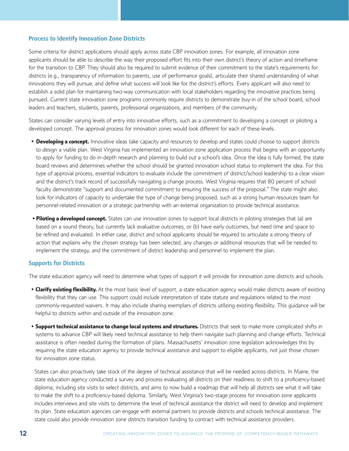#### **Process to Identify Innovation Zone Districts**

Some criteria for district applications should apply across state CBP innovation zones. For example, all innovation zone applicants should be able to describe the way their proposed effort fits into their own district's theory of action and timeframe for the transition to CBP. They should also be required to submit evidence of their commitment to the state's requirements for districts (e.g., transparency of information to parents, use of performance goals), articulate their shared understanding of what innovations they will pursue, and define what success will look like for the district's efforts. Every applicant will also need to establish a solid plan for maintaining two-way communication with local stakeholders regarding the innovative practices being pursued. Current state innovation zone programs commonly require districts to demonstrate buy-in of the school board, school leaders and teachers, students, parents, professional organizations, and members of the community.

States can consider varying levels of entry into innovative efforts, such as a commitment to developing a concept or piloting a developed concept. The approval process for innovation zones would look different for each of these levels.

- **Developing a concept.** Innovative ideas take capacity and resources to develop and states could choose to support districts to design a viable plan. West Virginia has implemented an innovation zone application process that begins with an opportunity to apply for funding to do in-depth research and planning to build out a school's idea. Once the idea is fully formed, the state board reviews and determines whether the school should be granted innovation school status to implement the idea. For this type of approval process, essential indicators to evaluate include the commitment of district/school leadership to a clear vision and the district's track record of successfully navigating a change process. West Virginia requires that 80 percent of school faculty demonstrate "support and documented commitment to ensuring the success of the proposal." The state might also look for indicators of capacity to undertake the type of change being proposed, such as a strong human resources team for personnel-related innovation or a strategic partnership with an external organization to provide technical assistance.
- **• Piloting a developed concept.** States can use innovation zones to support local districts in piloting strategies that (a) are based on a sound theory, but currently lack evaluative outcomes, or (b) have early outcomes, but need time and space to be refined and evaluated. In either case, district and school applicants should be required to articulate a strong theory of action that explains why the chosen strategy has been selected, any changes or additional resources that will be needed to implement the strategy, and the commitment of district leadership and personnel to implement the plan.

#### **Supports for Districts**

The state education agency will need to determine what types of support it will provide for innovation zone districts and schools.

- **Clarify existing flexibility.** At the most basic level of support, a state education agency would make districts aware of existing flexibility that they can use. This support could include interpretation of state statute and regulations related to the most commonly-requested waivers. It may also include sharing exemplars of districts utilizing existing flexibility. This guidance will be helpful to districts within and outside of the innovation zone.
- **Support technical assistance to change local systems and structures.** Districts that seek to make more complicated shifts in systems to advance CBP will likely need technical assistance to help them navigate such planning and change efforts. Technical assistance is often needed during the formation of plans. Massachusetts' innovation zone legislation acknowledges this by requiring the state education agency to provide technical assistance and support to eligible applicants, not just those chosen for innovation zone status.

 States can also proactively take stock of the degree of technical assistance that will be needed across districts. In Maine, the state education agency conducted a survey and process evaluating all districts on their readiness to shift to a proficiency-based diploma, including site visits to select districts, and aims to now build a roadmap that will help all districts see what it will take to make the shift to a proficiency-based diploma. Similarly, West Virginia's two-stage process for innovation zone applicants includes interviews and site visits to determine the level of technical assistance the district will need to develop and implement its plan. State education agencies can engage with external partners to provide districts and schools technical assistance. The state could also provide innovation zone districts transition funding to contract with technical assistance providers.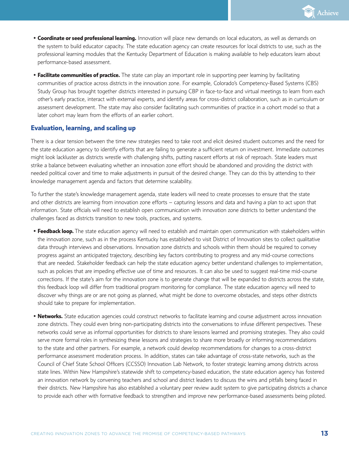

- **Coordinate or seed professional learning.** Innovation will place new demands on local educators, as well as demands on the system to build educator capacity. The state education agency can create resources for local districts to use, such as the professional learning modules that the Kentucky Department of Education is making available to help educators learn about performance-based assessment.
- **Facilitate communities of practice.** The state can play an important role in supporting peer learning by facilitating communities of practice across districts in the innovation zone. For example, Colorado's Competency-Based Systems (CBS) Study Group has brought together districts interested in pursuing CBP in face-to-face and virtual meetings to learn from each other's early practice, interact with external experts, and identify areas for cross-district collaboration, such as in curriculum or assessment development. The state may also consider facilitating such communities of practice in a cohort model so that a later cohort may learn from the efforts of an earlier cohort.

#### **Evaluation, learning, and scaling up**

There is a clear tension between the time new strategies need to take root and elicit desired student outcomes and the need for the state education agency to identify efforts that are failing to generate a sufficient return on investment. Immediate outcomes might look lackluster as districts wrestle with challenging shifts, putting nascent efforts at risk of reproach. State leaders must strike a balance between evaluating whether an innovation zone effort should be abandoned and providing the district with needed political cover and time to make adjustments in pursuit of the desired change. They can do this by attending to their knowledge management agenda and factors that determine scalability.

To further the state's knowledge management agenda, state leaders will need to create processes to ensure that the state and other districts are learning from innovation zone efforts – capturing lessons and data and having a plan to act upon that information. State officials will need to establish open communication with innovation zone districts to better understand the challenges faced as districts transition to new tools, practices, and systems.

- **Feedback loop.** The state education agency will need to establish and maintain open communication with stakeholders within the innovation zone, such as in the process Kentucky has established to visit District of Innovation sites to collect qualitative data through interviews and observations. Innovation zone districts and schools within them should be required to convey progress against an anticipated trajectory, describing key factors contributing to progress and any mid-course corrections that are needed. Stakeholder feedback can help the state education agency better understand challenges to implementation, such as policies that are impeding effective use of time and resources. It can also be used to suggest real-time mid-course corrections. If the state's aim for the innovation zone is to generate change that will be expanded to districts across the state, this feedback loop will differ from traditional program monitoring for compliance. The state education agency will need to discover why things are or are not going as planned, what might be done to overcome obstacles, and steps other districts should take to prepare for implementation.
- **Networks.** State education agencies could construct networks to facilitate learning and course adjustment across innovation zone districts. They could even bring non-participating districts into the conversations to infuse different perspectives. These networks could serve as informal opportunities for districts to share lessons learned and promising strategies. They also could serve more formal roles in synthesizing these lessons and strategies to share more broadly or informing recommendations to the state and other partners. For example, a network could develop recommendations for changes to a cross-district performance assessment moderation process. In addition, states can take advantage of cross-state networks, such as the Council of Chief State School Officers (CCSSO) Innovation Lab Network, to foster strategic learning among districts across state lines. Within New Hampshire's statewide shift to competency-based education, the state education agency has fostered an innovation network by convening teachers and school and district leaders to discuss the wins and pitfalls being faced in their districts. New Hampshire has also established a voluntary peer review audit system to give participating districts a chance to provide each other with formative feedback to strengthen and improve new performance-based assessments being piloted.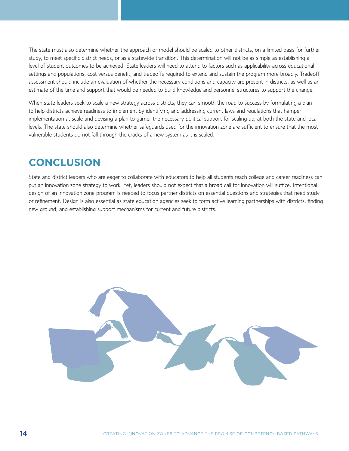The state must also determine whether the approach or model should be scaled to other districts, on a limited basis for further study, to meet specific district needs, or as a statewide transition. This determination will not be as simple as establishing a level of student outcomes to be achieved. State leaders will need to attend to factors such as applicability across educational settings and populations, cost versus benefit, and tradeoffs required to extend and sustain the program more broadly. Tradeoff assessment should include an evaluation of whether the necessary conditions and capacity are present in districts, as well as an estimate of the time and support that would be needed to build knowledge and personnel structures to support the change.

When state leaders seek to scale a new strategy across districts, they can smooth the road to success by formulating a plan to help districts achieve readiness to implement by identifying and addressing current laws and regulations that hamper implementation at scale and devising a plan to garner the necessary political support for scaling up, at both the state and local levels. The state should also determine whether safeguards used for the innovation zone are sufficient to ensure that the most vulnerable students do not fall through the cracks of a new system as it is scaled.

# **CONCLUSION**

State and district leaders who are eager to collaborate with educators to help all students reach college and career readiness can put an innovation zone strategy to work. Yet, leaders should not expect that a broad call for innovation will suffice. Intentional design of an innovation zone program is needed to focus partner districts on essential questions and strategies that need study or refinement. Design is also essential as state education agencies seek to form active learning partnerships with districts, finding new ground, and establishing support mechanisms for current and future districts.

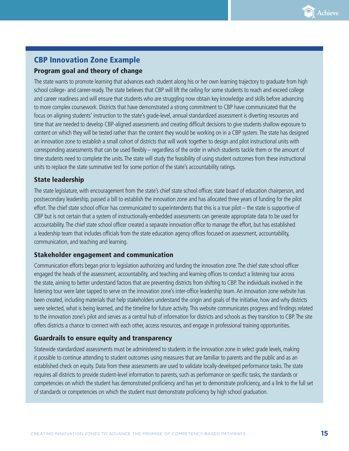

## CBP Innovation Zone Example

#### Program goal and theory of change

The state wants to promote learning that advances each student along his or her own learning trajectory to graduate from high school college- and career-ready. The state believes that CBP will lift the ceiling for some students to reach and exceed college and career readiness and will ensure that students who are struggling now obtain key knowledge and skills before advancing to more complex coursework. Districts that have demonstrated a strong commitment to CBP have communicated that the focus on aligning students' instruction to the state's grade-level, annual standardized assessment is diverting resources and time that are needed to develop CBP-aligned assessments and creating difficult decisions to give students shallow exposure to content on which they will be tested rather than the content they would be working on in a CBP system. The state has designed an innovation zone to establish a small cohort of districts that will work together to design and pilot instructional units with corresponding assessments that can be used flexibly – regardless of the order in which students tackle them or the amount of time students need to complete the units. The state will study the feasibility of using student outcomes from these instructional units to replace the state summative test for some portion of the state's accountability ratings.

#### State leadership

The state legislature, with encouragement from the state's chief state school officer, state board of education chairperson, and postsecondary leadership, passed a bill to establish the innovation zone and has allocated three years of funding for the pilot effort. The chief state school officer has communicated to superintendents that this is a true pilot – the state is supportive of CBP but is not certain that a system of instructionally-embedded assessments can generate appropriate data to be used for accountability. The chief state school officer created a separate innovation office to manage the effort, but has established a leadership team that includes officials from the state education agency offices focused on assessment, accountability, communication, and teaching and learning.

#### Stakeholder engagement and communication

Communication efforts began prior to legislation authorizing and funding the innovation zone. The chief state school officer engaged the heads of the assessment, accountability, and teaching and learning offices to conduct a listening tour across the state, aiming to better understand factors that are preventing districts from shifting to CBP. The individuals involved in the listening tour were later tapped to serve on the innovation zone's inter-office leadership team. An innovation zone website has been created, including materials that help stakeholders understand the origin and goals of the initiative, how and why districts were selected, what is being learned, and the timeline for future activity. This website communicates progress and findings related to the innovation zone's pilot and serves as a central hub of information for districts and schools as they transition to CBP. The site offers districts a chance to connect with each other, access resources, and engage in professional training opportunities.

#### Guardrails to ensure equity and transparency

Statewide standardized assessments must be administered to students in the innovation zone in select grade levels, making it possible to continue attending to student outcomes using measures that are familiar to parents and the public and as an established check on equity. Data from these assessments are used to validate locally-developed performance tasks. The state requires all districts to provide student-level information to parents, such as performance on specific tasks, the standards or competencies on which the student has demonstrated proficiency and has yet to demonstrate proficiency, and a link to the full set of standards or competencies on which the student must demonstrate proficiency by high school graduation.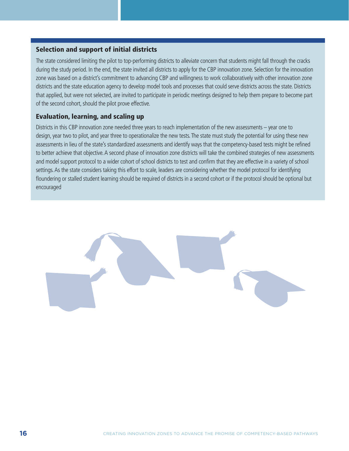#### Selection and support of initial districts

The state considered limiting the pilot to top-performing districts to alleviate concern that students might fall through the cracks during the study period. In the end, the state invited all districts to apply for the CBP innovation zone. Selection for the innovation zone was based on a district's commitment to advancing CBP and willingness to work collaboratively with other innovation zone districts and the state education agency to develop model tools and processes that could serve districts across the state. Districts that applied, but were not selected, are invited to participate in periodic meetings designed to help them prepare to become part of the second cohort, should the pilot prove effective.

#### Evaluation, learning, and scaling up

Districts in this CBP innovation zone needed three years to reach implementation of the new assessments – year one to design, year two to pilot, and year three to operationalize the new tests. The state must study the potential for using these new assessments in lieu of the state's standardized assessments and identify ways that the competency-based tests might be refined to better achieve that objective. A second phase of innovation zone districts will take the combined strategies of new assessments and model support protocol to a wider cohort of school districts to test and confirm that they are effective in a variety of school settings. As the state considers taking this effort to scale, leaders are considering whether the model protocol for identifying floundering or stalled student learning should be required of districts in a second cohort or if the protocol should be optional but encouraged.

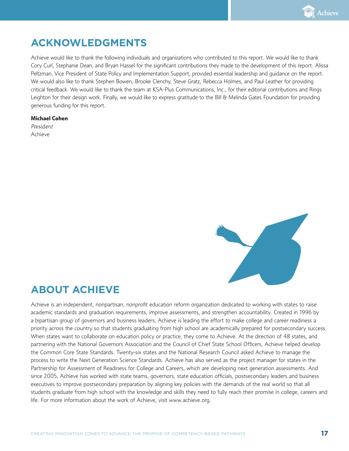

# **ACKNOWLEDGMENTS**

Achieve would like to thank the following individuals and organizations who contributed to this report. We would like to thank Cory Curl, Stephanie Dean, and Bryan Hassel for the significant contributions they made to the development of this report. Alissa Peltzman, Vice President of State Policy and Implementation Support, provided essential leadership and guidance on the report. We would also like to thank Stephen Bowen, Brooke Clenchy, Steve Gratz, Rebecca Holmes, and Paul Leather for providing critical feedback. We would like to thank the team at KSA-Plus Communications, Inc., for their editorial contributions and Rings Leighton for their design work. Finally, we would like to express gratitude to the Bill & Melinda Gates Foundation for providing generous funding for this report.

#### **Michael Cohen**

*President* Achieve



# **ABOUT ACHIEVE**

Achieve is an independent, nonpartisan, nonprofit education reform organization dedicated to working with states to raise academic standards and graduation requirements, improve assessments, and strengthen accountability. Created in 1996 by a bipartisan group of governors and business leaders, Achieve is leading the effort to make college and career readiness a priority across the country so that students graduating from high school are academically prepared for postsecondary success. When states want to collaborate on education policy or practice, they come to Achieve. At the direction of 48 states, and partnering with the National Governors Association and the Council of Chief State School Officers, Achieve helped develop the Common Core State Standards. Twenty-six states and the National Research Council asked Achieve to manage the process to write the Next Generation Science Standards. Achieve has also served as the project manager for states in the Partnership for Assessment of Readiness for College and Careers, which are developing next generation assessments. And since 2005, Achieve has worked with state teams, governors, state education officials, postsecondary leaders and business executives to improve postsecondary preparation by aligning key policies with the demands of the real world so that all students graduate from high school with the knowledge and skills they need to fully reach their promise in college, careers and life. For more information about the work of Achieve, visit www.achieve.org.